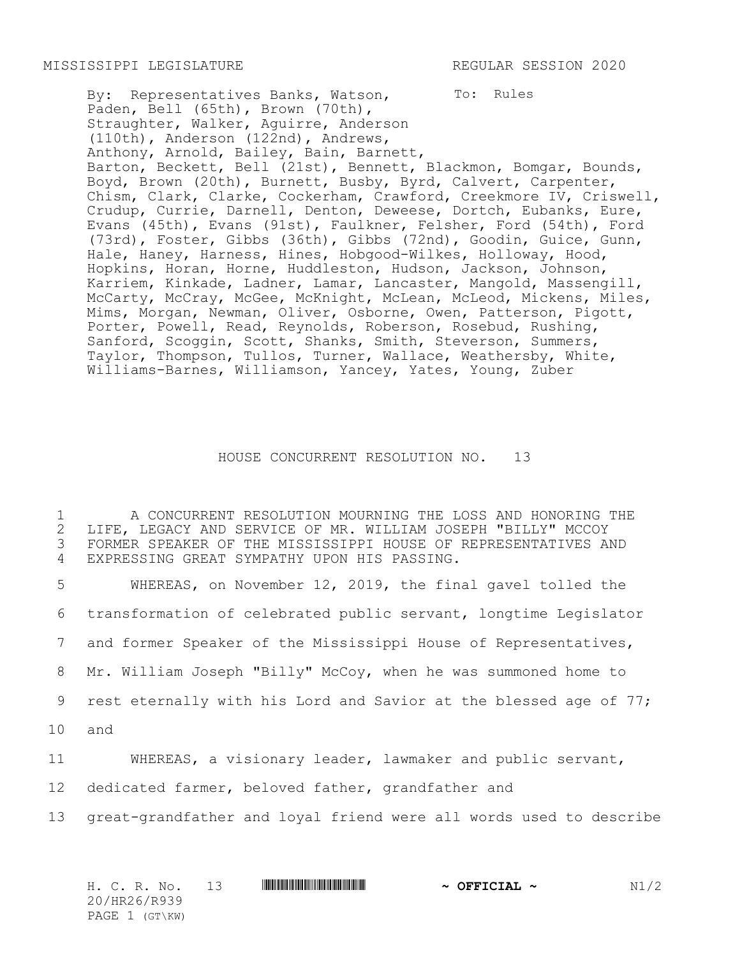To: Rules By: Representatives Banks, Watson, Paden, Bell (65th), Brown (70th), Straughter, Walker, Aguirre, Anderson (110th), Anderson (122nd), Andrews, Anthony, Arnold, Bailey, Bain, Barnett, Barton, Beckett, Bell (21st), Bennett, Blackmon, Bomgar, Bounds, Boyd, Brown (20th), Burnett, Busby, Byrd, Calvert, Carpenter, Chism, Clark, Clarke, Cockerham, Crawford, Creekmore IV, Criswell, Crudup, Currie, Darnell, Denton, Deweese, Dortch, Eubanks, Eure, Evans (45th), Evans (91st), Faulkner, Felsher, Ford (54th), Ford (73rd), Foster, Gibbs (36th), Gibbs (72nd), Goodin, Guice, Gunn, Hale, Haney, Harness, Hines, Hobgood-Wilkes, Holloway, Hood, Hopkins, Horan, Horne, Huddleston, Hudson, Jackson, Johnson, Karriem, Kinkade, Ladner, Lamar, Lancaster, Mangold, Massengill, McCarty, McCray, McGee, McKnight, McLean, McLeod, Mickens, Miles, Mims, Morgan, Newman, Oliver, Osborne, Owen, Patterson, Pigott, Porter, Powell, Read, Reynolds, Roberson, Rosebud, Rushing, Sanford, Scoggin, Scott, Shanks, Smith, Steverson, Summers, Taylor, Thompson, Tullos, Turner, Wallace, Weathersby, White, Williams-Barnes, Williamson, Yancey, Yates, Young, Zuber

## HOUSE CONCURRENT RESOLUTION NO. 13

 A CONCURRENT RESOLUTION MOURNING THE LOSS AND HONORING THE LIFE, LEGACY AND SERVICE OF MR. WILLIAM JOSEPH "BILLY" MCCOY FORMER SPEAKER OF THE MISSISSIPPI HOUSE OF REPRESENTATIVES AND EXPRESSING GREAT SYMPATHY UPON HIS PASSING.

 WHEREAS, on November 12, 2019, the final gavel tolled the transformation of celebrated public servant, longtime Legislator and former Speaker of the Mississippi House of Representatives, Mr. William Joseph "Billy" McCoy, when he was summoned home to rest eternally with his Lord and Savior at the blessed age of 77; 10 and WHEREAS, a visionary leader, lawmaker and public servant, dedicated farmer, beloved father, grandfather and great-grandfather and loyal friend were all words used to describe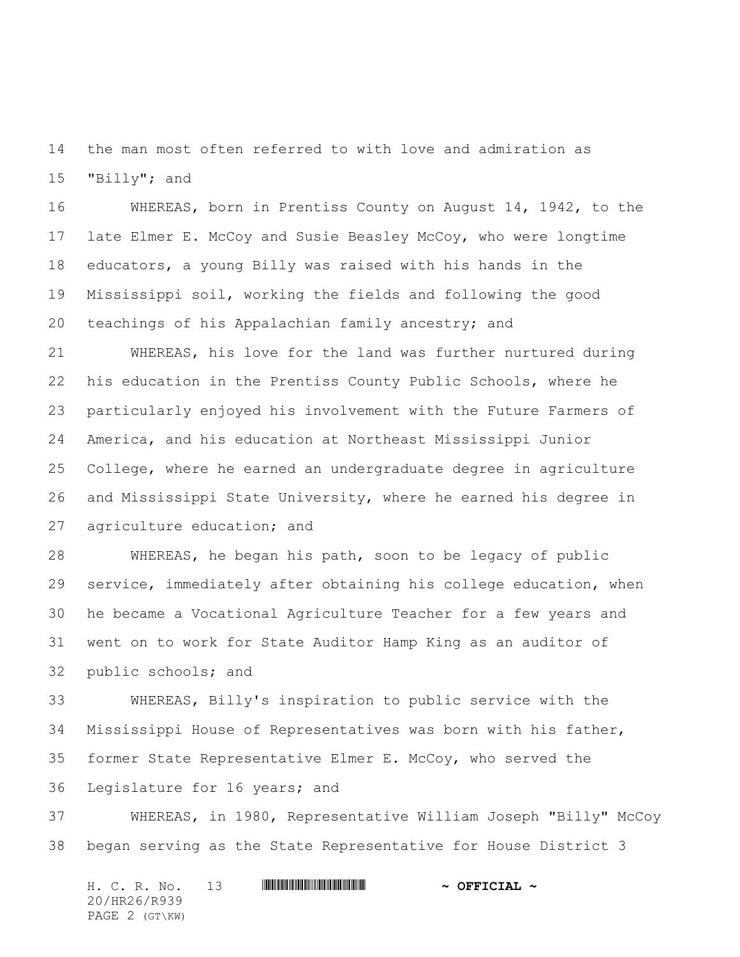the man most often referred to with love and admiration as "Billy"; and

 WHEREAS, born in Prentiss County on August 14, 1942, to the late Elmer E. McCoy and Susie Beasley McCoy, who were longtime educators, a young Billy was raised with his hands in the Mississippi soil, working the fields and following the good teachings of his Appalachian family ancestry; and

 WHEREAS, his love for the land was further nurtured during his education in the Prentiss County Public Schools, where he particularly enjoyed his involvement with the Future Farmers of America, and his education at Northeast Mississippi Junior College, where he earned an undergraduate degree in agriculture and Mississippi State University, where he earned his degree in agriculture education; and

 WHEREAS, he began his path, soon to be legacy of public service, immediately after obtaining his college education, when he became a Vocational Agriculture Teacher for a few years and went on to work for State Auditor Hamp King as an auditor of public schools; and

 WHEREAS, Billy's inspiration to public service with the Mississippi House of Representatives was born with his father, former State Representative Elmer E. McCoy, who served the Legislature for 16 years; and

 WHEREAS, in 1980, Representative William Joseph "Billy" McCoy began serving as the State Representative for House District 3

H. C. R. No. 13 **. AND AND AN ABSE AND A OFFICIAL ~** 20/HR26/R939 PAGE 2 (GT\KW)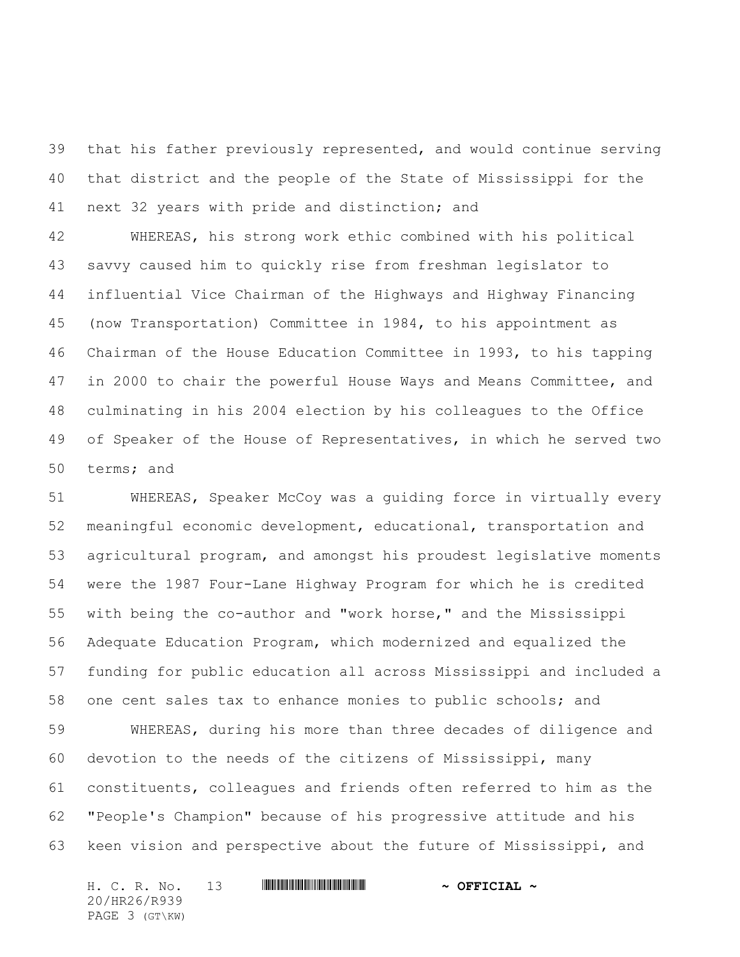that his father previously represented, and would continue serving that district and the people of the State of Mississippi for the next 32 years with pride and distinction; and

 WHEREAS, his strong work ethic combined with his political savvy caused him to quickly rise from freshman legislator to influential Vice Chairman of the Highways and Highway Financing (now Transportation) Committee in 1984, to his appointment as Chairman of the House Education Committee in 1993, to his tapping in 2000 to chair the powerful House Ways and Means Committee, and culminating in his 2004 election by his colleagues to the Office of Speaker of the House of Representatives, in which he served two terms; and

 WHEREAS, Speaker McCoy was a guiding force in virtually every meaningful economic development, educational, transportation and agricultural program, and amongst his proudest legislative moments were the 1987 Four-Lane Highway Program for which he is credited with being the co-author and "work horse," and the Mississippi Adequate Education Program, which modernized and equalized the funding for public education all across Mississippi and included a one cent sales tax to enhance monies to public schools; and

 WHEREAS, during his more than three decades of diligence and devotion to the needs of the citizens of Mississippi, many constituents, colleagues and friends often referred to him as the "People's Champion" because of his progressive attitude and his keen vision and perspective about the future of Mississippi, and

H. C. R. No. 13 **. AND AND AN ABSE AND A OFFICIAL ~** 20/HR26/R939 PAGE 3 (GT\KW)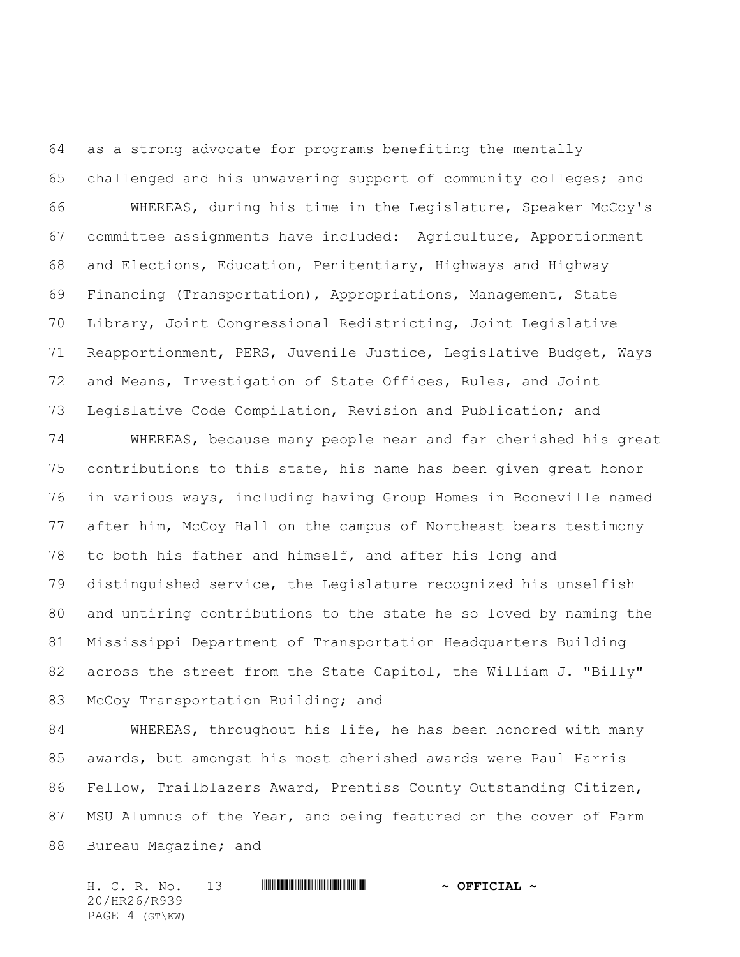as a strong advocate for programs benefiting the mentally challenged and his unwavering support of community colleges; and WHEREAS, during his time in the Legislature, Speaker McCoy's committee assignments have included: Agriculture, Apportionment and Elections, Education, Penitentiary, Highways and Highway Financing (Transportation), Appropriations, Management, State Library, Joint Congressional Redistricting, Joint Legislative Reapportionment, PERS, Juvenile Justice, Legislative Budget, Ways and Means, Investigation of State Offices, Rules, and Joint Legislative Code Compilation, Revision and Publication; and

 WHEREAS, because many people near and far cherished his great contributions to this state, his name has been given great honor in various ways, including having Group Homes in Booneville named after him, McCoy Hall on the campus of Northeast bears testimony to both his father and himself, and after his long and distinguished service, the Legislature recognized his unselfish and untiring contributions to the state he so loved by naming the Mississippi Department of Transportation Headquarters Building 82 across the street from the State Capitol, the William J. "Billy" 83 McCoy Transportation Building; and

 WHEREAS, throughout his life, he has been honored with many awards, but amongst his most cherished awards were Paul Harris Fellow, Trailblazers Award, Prentiss County Outstanding Citizen, MSU Alumnus of the Year, and being featured on the cover of Farm 88 Bureau Magazine; and

H. C. R. No. 13 **. AND AND AN ABSE AND A OFFICIAL ~** 20/HR26/R939 PAGE 4 (GT\KW)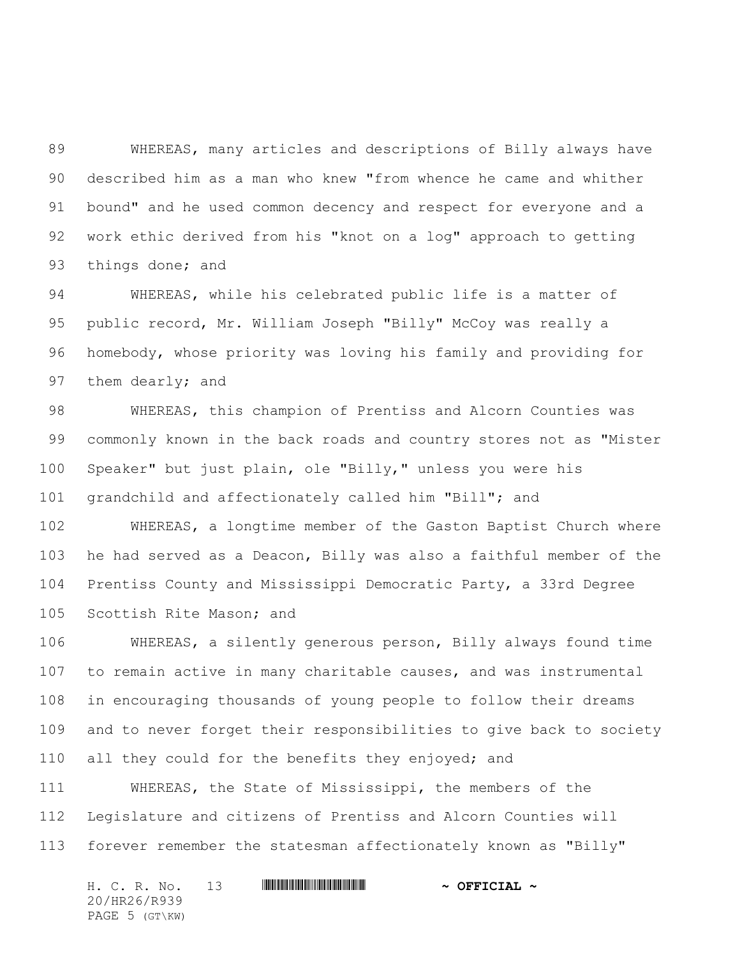WHEREAS, many articles and descriptions of Billy always have described him as a man who knew "from whence he came and whither bound" and he used common decency and respect for everyone and a work ethic derived from his "knot on a log" approach to getting 93 things done; and

 WHEREAS, while his celebrated public life is a matter of public record, Mr. William Joseph "Billy" McCoy was really a homebody, whose priority was loving his family and providing for them dearly; and

 WHEREAS, this champion of Prentiss and Alcorn Counties was commonly known in the back roads and country stores not as "Mister Speaker" but just plain, ole "Billy," unless you were his grandchild and affectionately called him "Bill"; and

 WHEREAS, a longtime member of the Gaston Baptist Church where he had served as a Deacon, Billy was also a faithful member of the Prentiss County and Mississippi Democratic Party, a 33rd Degree Scottish Rite Mason; and

 WHEREAS, a silently generous person, Billy always found time to remain active in many charitable causes, and was instrumental in encouraging thousands of young people to follow their dreams and to never forget their responsibilities to give back to society all they could for the benefits they enjoyed; and

 WHEREAS, the State of Mississippi, the members of the Legislature and citizens of Prentiss and Alcorn Counties will forever remember the statesman affectionately known as "Billy"

H. C. R. No. 13 **. AND AND AN ABSE AND A OFFICIAL ~** 20/HR26/R939 PAGE 5 (GT\KW)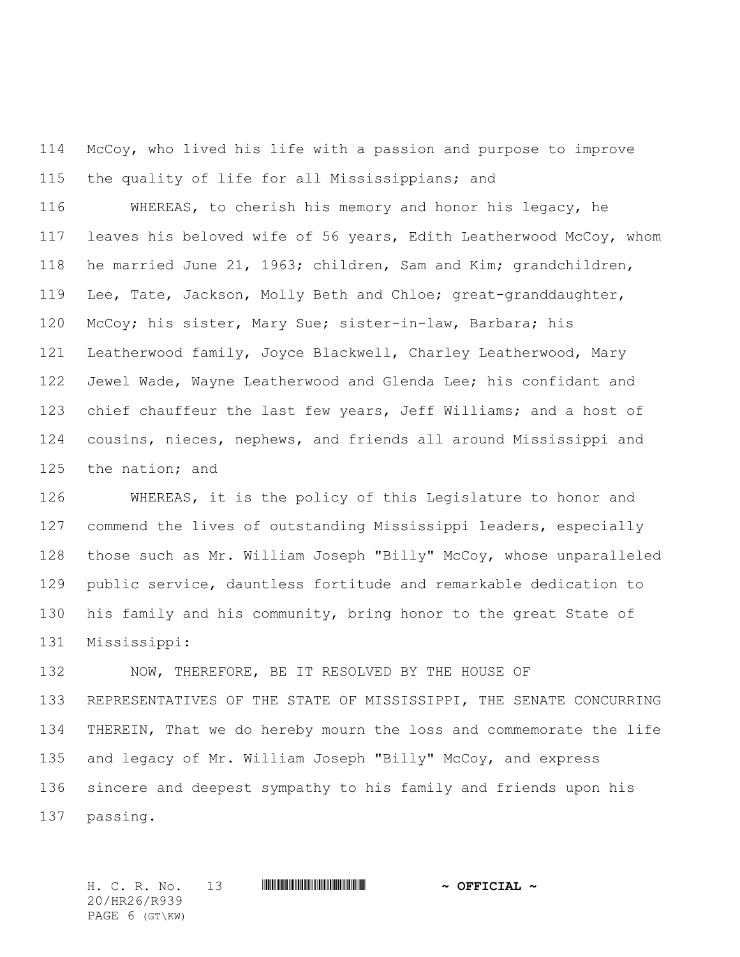McCoy, who lived his life with a passion and purpose to improve the quality of life for all Mississippians; and

 WHEREAS, to cherish his memory and honor his legacy, he leaves his beloved wife of 56 years, Edith Leatherwood McCoy, whom he married June 21, 1963; children, Sam and Kim; grandchildren, Lee, Tate, Jackson, Molly Beth and Chloe; great-granddaughter, McCoy; his sister, Mary Sue; sister-in-law, Barbara; his Leatherwood family, Joyce Blackwell, Charley Leatherwood, Mary Jewel Wade, Wayne Leatherwood and Glenda Lee; his confidant and 123 chief chauffeur the last few years, Jeff Williams; and a host of cousins, nieces, nephews, and friends all around Mississippi and the nation; and

 WHEREAS, it is the policy of this Legislature to honor and 127 commend the lives of outstanding Mississippi leaders, especially those such as Mr. William Joseph "Billy" McCoy, whose unparalleled public service, dauntless fortitude and remarkable dedication to his family and his community, bring honor to the great State of Mississippi:

 NOW, THEREFORE, BE IT RESOLVED BY THE HOUSE OF REPRESENTATIVES OF THE STATE OF MISSISSIPPI, THE SENATE CONCURRING THEREIN, That we do hereby mourn the loss and commemorate the life and legacy of Mr. William Joseph "Billy" McCoy, and express sincere and deepest sympathy to his family and friends upon his passing.

H. C. R. No. 13 **HARPE AND A CHALLET AND A OFFICIAL ~** 20/HR26/R939 PAGE 6 (GT\KW)